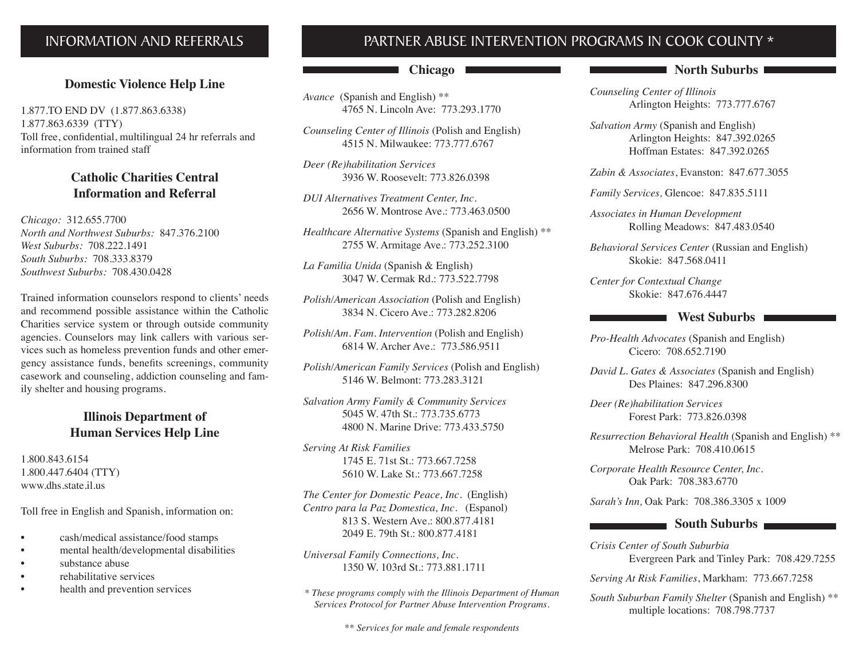#### **INFORMATION AND REFERRALS**

#### **Domestic Violence Help Line**

1.877.TO END DV (1.877.863.6338) 1.877.863.6339 (TTY) Toll free, confidential, multilingual 24 hr referrals and information from trained staff

#### **Catholic Charities Central Information and Referral**

*Chicago:* 312.655.7700 *North and Northwest Suburbs:* 847.376.2100 *West Suburbs:* 708.222.1491 *South Suburbs:* 708.333.8379 *Southwest Suburbs:* 708.430.0428

Trained information counselors respond to clients' needs and recommend possible assistance within the Catholic Charities service system or through outside community agencies. Counselors may link callers with various services such as homeless prevention funds and other emergency assistance funds, benefits screenings, community casework and counseling, addiction counseling and family shelter and housing programs.

#### **Illinois Department of Human Services Help Line**

1.800.843.6154 1.800.447.6404 (TTY) www.dhs.state.il.us

Toll free in English and Spanish, information on:

- cash/medical assistance/food stamps
- mental health/developmental disabilities
- substance abuse
- rehabilitative services
- health and prevention services

#### PARTNER ABUSE INTERVENTION PROGRAMS IN COOK COUNTY \*

#### **Chicago**

*Avance* (Spanish and English) \*\* 4765 N. Lincoln Ave: 773.293.1770

*Counseling Center of Illinois* (Polish and English) 4515 N. Milwaukee: 773.777.6767

*Deer (Re)habilitation Services* 3936 W. Roosevelt: 773.826.0398

*DUI Alternatives Treatment Center, Inc.* 2656 W. Montrose Ave.: 773.463.0500

*Healthcare Alternative Systems* (Spanish and English) \*\* 2755 W. Armitage Ave.: 773.252.3100

*La Familia Unida* (Spanish & English) 3047 W. Cermak Rd.: 773.522.7798

*Polish/American Association* (Polish and English) 3834 N. Cicero Ave.: 773.282.8206

*Polish/Am. Fam. Intervention* (Polish and English) 6814 W. Archer Ave.: 773.586.9511

*Polish/American Family Services* (Polish and English) 5146 W. Belmont: 773.283.3121

*Salvation Army Family & Community Services* 5045 W. 47th St.: 773.735.6773 4800 N. Marine Drive: 773.433.5750

*Serving At Risk Families* 1745 E. 71st St.: 773.667.7258 5610 W. Lake St.: 773.667.7258

*The Center for Domestic Peace, Inc.* (English) *Centro para la Paz Domestica, Inc.* (Espanol) 813 S. Western Ave.: 800.877.4181 2049 E. 79th St.: 800.877.4181

*Universal Family Connections, Inc.* 1350 W. 103rd St.: 773.881.1711

*\* These programs comply with the Illinois Department of Human Services Protocol for Partner Abuse Intervention Programs.*

*\*\* Services for male and female respondents*

#### **North Suburbs**

*Counseling Center of Illinois* Arlington Heights: 773.777.6767

*Salvation Army* (Spanish and English) Arlington Heights: 847.392.0265 Hoffman Estates: 847.392.0265

*Zabin & Associates*, Evanston: 847.677.3055

*Family Services,* Glencoe: 847.835.5111

*Associates in Human Development* Rolling Meadows: 847.483.0540

*Behavioral Services Center* (Russian and English) Skokie: 847.568.0411

*Center for Contextual Change* Skokie: 847.676.4447

#### **West Suburbs**

*Pro-Health Advocates* (Spanish and English) Cicero: 708.652.7190

*David L. Gates & Associates* (Spanish and English) Des Plaines: 847.296.8300

*Deer (Re)habilitation Services* Forest Park: 773.826.0398

*Resurrection Behavioral Health* (Spanish and English) \*\* Melrose Park: 708.410.0615

*Corporate Health Resource Center, Inc.* Oak Park: 708.383.6770

*Sarah's Inn,* Oak Park: 708.386.3305 x 1009

#### **South Suburbs**

*Crisis Center of South Suburbia* Evergreen Park and Tinley Park: 708.429.7255

*Serving At Risk Families*, Markham: 773.667.7258

*South Suburban Family Shelter* (Spanish and English) \*\* multiple locations: 708.798.7737